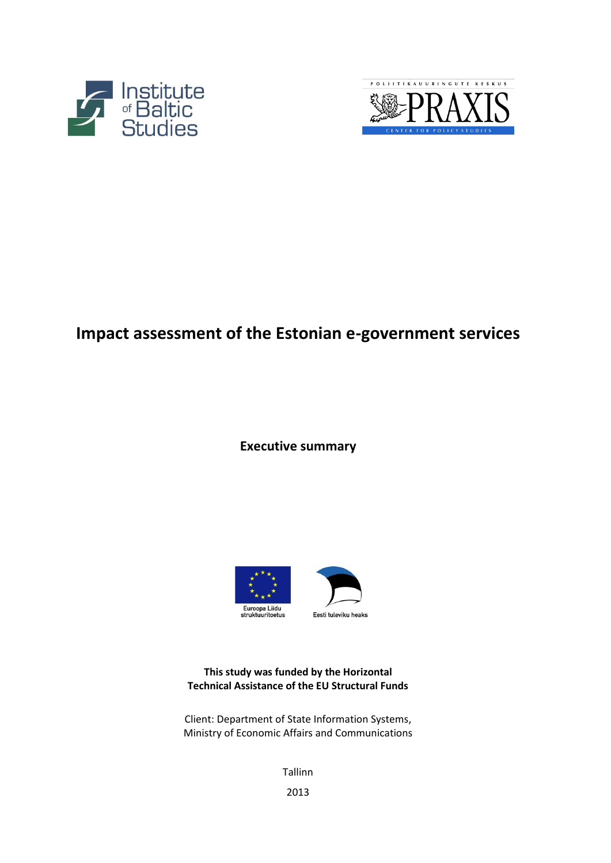



# **Impact assessment of the Estonian e-government services**

**Executive summary**



**This study was funded by the Horizontal Technical Assistance of the EU Structural Funds**

Client: Department of State Information Systems, Ministry of Economic Affairs and Communications

Tallinn

2013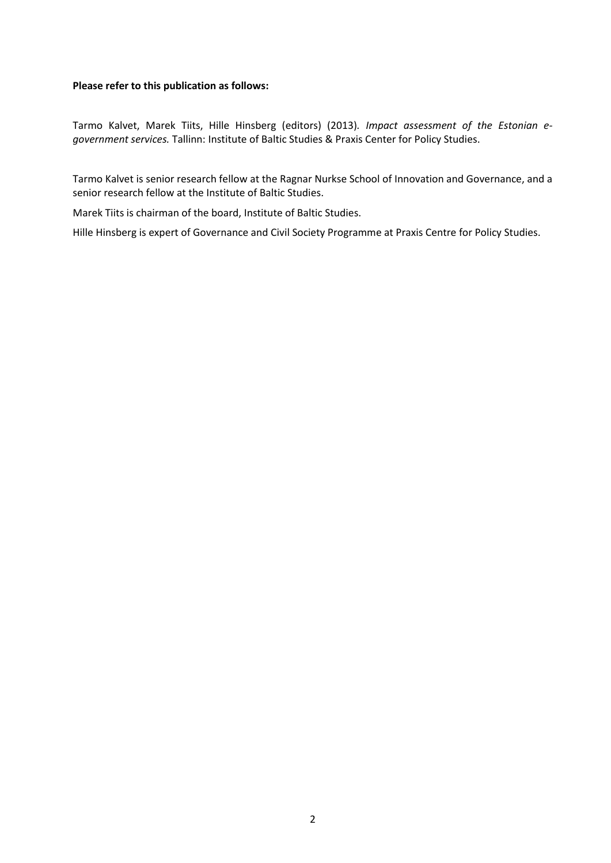#### **Please refer to this publication as follows:**

Tarmo Kalvet, Marek Tiits, Hille Hinsberg (editors) (2013)*. Impact assessment of the Estonian egovernment services.* Tallinn: Institute of Baltic Studies & Praxis Center for Policy Studies.

Tarmo Kalvet is senior research fellow at the Ragnar Nurkse School of Innovation and Governance, and a senior research fellow at the Institute of Baltic Studies.

Marek Tiits is chairman of the board, Institute of Baltic Studies.

Hille Hinsberg is expert of Governance and Civil Society Programme at Praxis Centre for Policy Studies.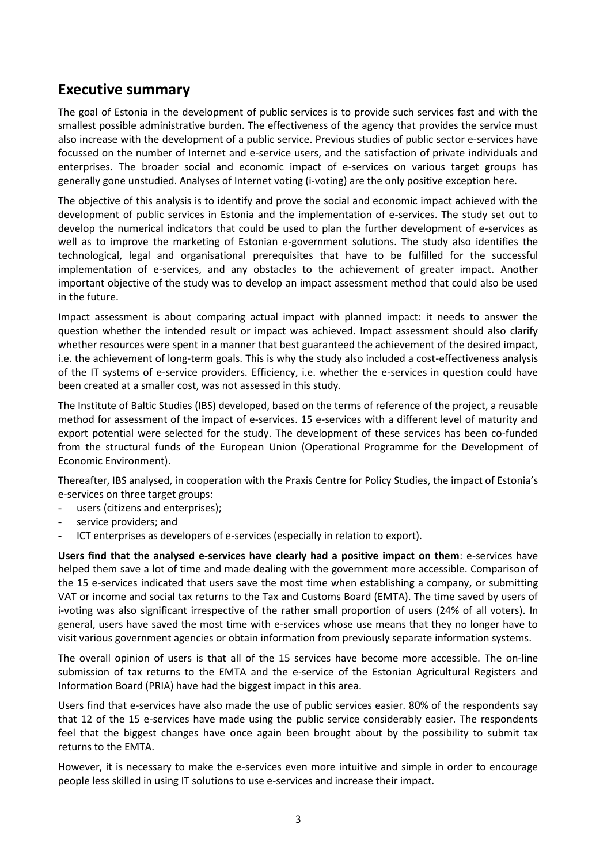## **Executive summary**

The goal of Estonia in the development of public services is to provide such services fast and with the smallest possible administrative burden. The effectiveness of the agency that provides the service must also increase with the development of a public service. Previous studies of public sector e-services have focussed on the number of Internet and e-service users, and the satisfaction of private individuals and enterprises. The broader social and economic impact of e-services on various target groups has generally gone unstudied. Analyses of Internet voting (i-voting) are the only positive exception here.

The objective of this analysis is to identify and prove the social and economic impact achieved with the development of public services in Estonia and the implementation of e-services. The study set out to develop the numerical indicators that could be used to plan the further development of e-services as well as to improve the marketing of Estonian e-government solutions. The study also identifies the technological, legal and organisational prerequisites that have to be fulfilled for the successful implementation of e-services, and any obstacles to the achievement of greater impact. Another important objective of the study was to develop an impact assessment method that could also be used in the future.

Impact assessment is about comparing actual impact with planned impact: it needs to answer the question whether the intended result or impact was achieved. Impact assessment should also clarify whether resources were spent in a manner that best guaranteed the achievement of the desired impact, i.e. the achievement of long-term goals. This is why the study also included a cost-effectiveness analysis of the IT systems of e-service providers. Efficiency, i.e. whether the e-services in question could have been created at a smaller cost, was not assessed in this study.

The Institute of Baltic Studies (IBS) developed, based on the terms of reference of the project, a reusable method for assessment of the impact of e-services. 15 e-services with a different level of maturity and export potential were selected for the study. The development of these services has been co-funded from the structural funds of the European Union (Operational Programme for the Development of Economic Environment).

Thereafter, IBS analysed, in cooperation with the Praxis Centre for Policy Studies, the impact of Estonia's e-services on three target groups:

- users (citizens and enterprises);
- service providers; and
- ICT enterprises as developers of e-services (especially in relation to export).

**Users find that the analysed e-services have clearly had a positive impact on them**: e-services have helped them save a lot of time and made dealing with the government more accessible. Comparison of the 15 e-services indicated that users save the most time when establishing a company, or submitting VAT or income and social tax returns to the Tax and Customs Board (EMTA). The time saved by users of i-voting was also significant irrespective of the rather small proportion of users (24% of all voters). In general, users have saved the most time with e-services whose use means that they no longer have to visit various government agencies or obtain information from previously separate information systems.

The overall opinion of users is that all of the 15 services have become more accessible. The on-line submission of tax returns to the EMTA and the e-service of the Estonian Agricultural Registers and Information Board (PRIA) have had the biggest impact in this area.

Users find that e-services have also made the use of public services easier. 80% of the respondents say that 12 of the 15 e-services have made using the public service considerably easier. The respondents feel that the biggest changes have once again been brought about by the possibility to submit tax returns to the EMTA.

However, it is necessary to make the e-services even more intuitive and simple in order to encourage people less skilled in using IT solutions to use e-services and increase their impact.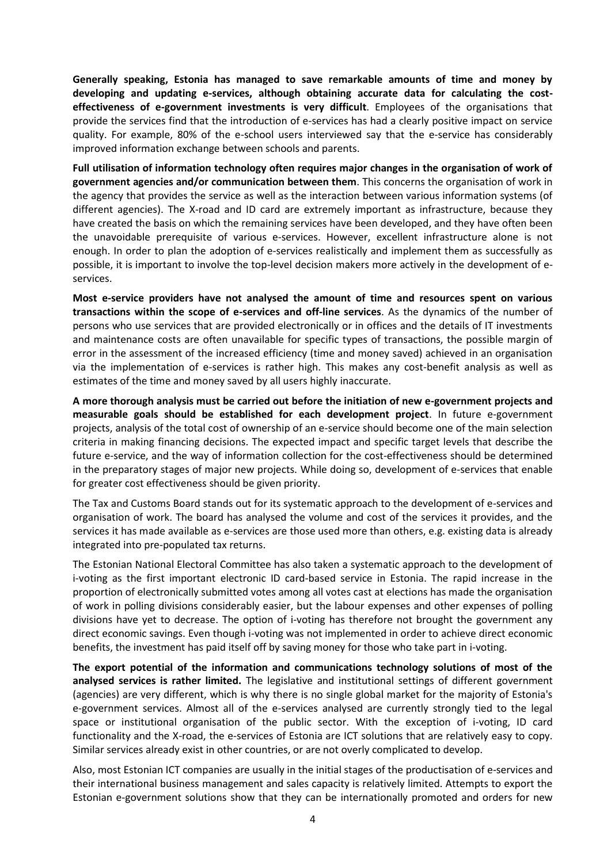**Generally speaking, Estonia has managed to save remarkable amounts of time and money by developing and updating e-services, although obtaining accurate data for calculating the costeffectiveness of e-government investments is very difficult**. Employees of the organisations that provide the services find that the introduction of e-services has had a clearly positive impact on service quality. For example, 80% of the e-school users interviewed say that the e-service has considerably improved information exchange between schools and parents.

**Full utilisation of information technology often requires major changes in the organisation of work of government agencies and/or communication between them**. This concerns the organisation of work in the agency that provides the service as well as the interaction between various information systems (of different agencies). The X-road and ID card are extremely important as infrastructure, because they have created the basis on which the remaining services have been developed, and they have often been the unavoidable prerequisite of various e-services. However, excellent infrastructure alone is not enough. In order to plan the adoption of e-services realistically and implement them as successfully as possible, it is important to involve the top-level decision makers more actively in the development of eservices.

**Most e-service providers have not analysed the amount of time and resources spent on various transactions within the scope of e-services and off-line services**. As the dynamics of the number of persons who use services that are provided electronically or in offices and the details of IT investments and maintenance costs are often unavailable for specific types of transactions, the possible margin of error in the assessment of the increased efficiency (time and money saved) achieved in an organisation via the implementation of e-services is rather high. This makes any cost-benefit analysis as well as estimates of the time and money saved by all users highly inaccurate.

**A more thorough analysis must be carried out before the initiation of new e-government projects and measurable goals should be established for each development project**. In future e-government projects, analysis of the total cost of ownership of an e-service should become one of the main selection criteria in making financing decisions. The expected impact and specific target levels that describe the future e-service, and the way of information collection for the cost-effectiveness should be determined in the preparatory stages of major new projects. While doing so, development of e-services that enable for greater cost effectiveness should be given priority.

The Tax and Customs Board stands out for its systematic approach to the development of e-services and organisation of work. The board has analysed the volume and cost of the services it provides, and the services it has made available as e-services are those used more than others, e.g. existing data is already integrated into pre-populated tax returns.

The Estonian National Electoral Committee has also taken a systematic approach to the development of i-voting as the first important electronic ID card-based service in Estonia. The rapid increase in the proportion of electronically submitted votes among all votes cast at elections has made the organisation of work in polling divisions considerably easier, but the labour expenses and other expenses of polling divisions have yet to decrease. The option of i-voting has therefore not brought the government any direct economic savings. Even though i-voting was not implemented in order to achieve direct economic benefits, the investment has paid itself off by saving money for those who take part in i-voting.

**The export potential of the information and communications technology solutions of most of the analysed services is rather limited.** The legislative and institutional settings of different government (agencies) are very different, which is why there is no single global market for the majority of Estonia's e-government services. Almost all of the e-services analysed are currently strongly tied to the legal space or institutional organisation of the public sector. With the exception of i-voting, ID card functionality and the X-road, the e-services of Estonia are ICT solutions that are relatively easy to copy. Similar services already exist in other countries, or are not overly complicated to develop.

Also, most Estonian ICT companies are usually in the initial stages of the productisation of e-services and their international business management and sales capacity is relatively limited. Attempts to export the Estonian e-government solutions show that they can be internationally promoted and orders for new